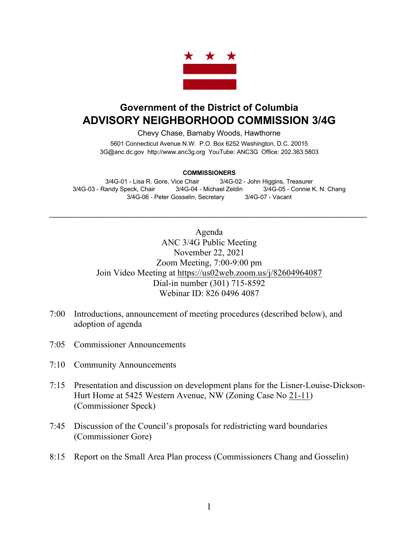

## **Government of the District of Columbia ADVISORY NEIGHBORHOOD COMMISSION 3/4G**

Chevy Chase, Barnaby Woods, Hawthorne 5601 Connecticut Avenue N.W. P.O. Box 6252 Washington, D.C. 20015 3G@anc.dc.gov http://www.anc3g.org YouTube: ANC3G Office: 202.363.5803

## **COMMISSIONERS**

3/4G-01 - Lisa R. Gore, Vice Chair 3/4G-02 - John Higgins, Treasurer 3/4G-03 - Randy Speck, Chair 3/4G-04 - Michael Zeldin 3/4G-05 - Connie K. N. Chang 3/4G-06 - Peter Gosselin, Secretary 3/4G-07 - Vacant

 $\mathcal{L}_\text{max}$  , and the contribution of the contribution of the contribution of the contribution of the contribution of the contribution of the contribution of the contribution of the contribution of the contribution of t

Agenda ANC 3/4G Public Meeting November 22, 2021 Zoom Meeting, 7:00-9:00 pm Join Video Meeting at https://us02web.zoom.us/j/82604964087 Dial-in number (301) 715-8592 Webinar ID: 826 0496 4087

- 7:00 Introductions, announcement of meeting procedures (described below), and adoption of agenda
- 7:05 Commissioner Announcements
- 7:10 Community Announcements
- 7:15 Presentation and discussion on development plans for the Lisner-Louise-Dickson-Hurt Home at 5425 Western Avenue, NW (Zoning Case No 21-11) (Commissioner Speck)
- 7:45 Discussion of the Council's proposals for redistricting ward boundaries (Commissioner Gore)
- 8:15 Report on the Small Area Plan process (Commissioners Chang and Gosselin)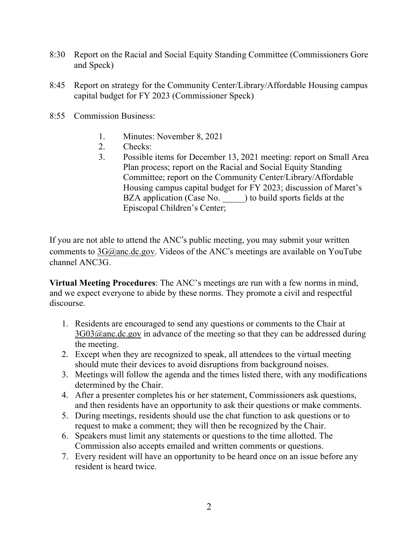- 8:30 Report on the Racial and Social Equity Standing Committee (Commissioners Gore and Speck)
- 8:45 Report on strategy for the Community Center/Library/Affordable Housing campus capital budget for FY 2023 (Commissioner Speck)
- 8:55 Commission Business:
	- 1. Minutes: November 8, 2021
	- 2. Checks:
	- 3. Possible items for December 13, 2021 meeting: report on Small Area Plan process; report on the Racial and Social Equity Standing Committee; report on the Community Center/Library/Affordable Housing campus capital budget for FY 2023; discussion of Maret's BZA application (Case No. ) to build sports fields at the Episcopal Children's Center;

If you are not able to attend the ANC's public meeting, you may submit your written comments to  $3G@anc.dc.gov$ . Videos of the ANC's meetings are available on YouTube channel ANC3G.

**Virtual Meeting Procedures**: The ANC's meetings are run with a few norms in mind, and we expect everyone to abide by these norms. They promote a civil and respectful discourse.

- 1. Residents are encouraged to send any questions or comments to the Chair at  $3G03@$ anc.dc.gov in advance of the meeting so that they can be addressed during the meeting.
- 2. Except when they are recognized to speak, all attendees to the virtual meeting should mute their devices to avoid disruptions from background noises.
- 3. Meetings will follow the agenda and the times listed there, with any modifications determined by the Chair.
- 4. After a presenter completes his or her statement, Commissioners ask questions, and then residents have an opportunity to ask their questions or make comments.
- 5. During meetings, residents should use the chat function to ask questions or to request to make a comment; they will then be recognized by the Chair.
- 6. Speakers must limit any statements or questions to the time allotted. The Commission also accepts emailed and written comments or questions.
- 7. Every resident will have an opportunity to be heard once on an issue before any resident is heard twice.